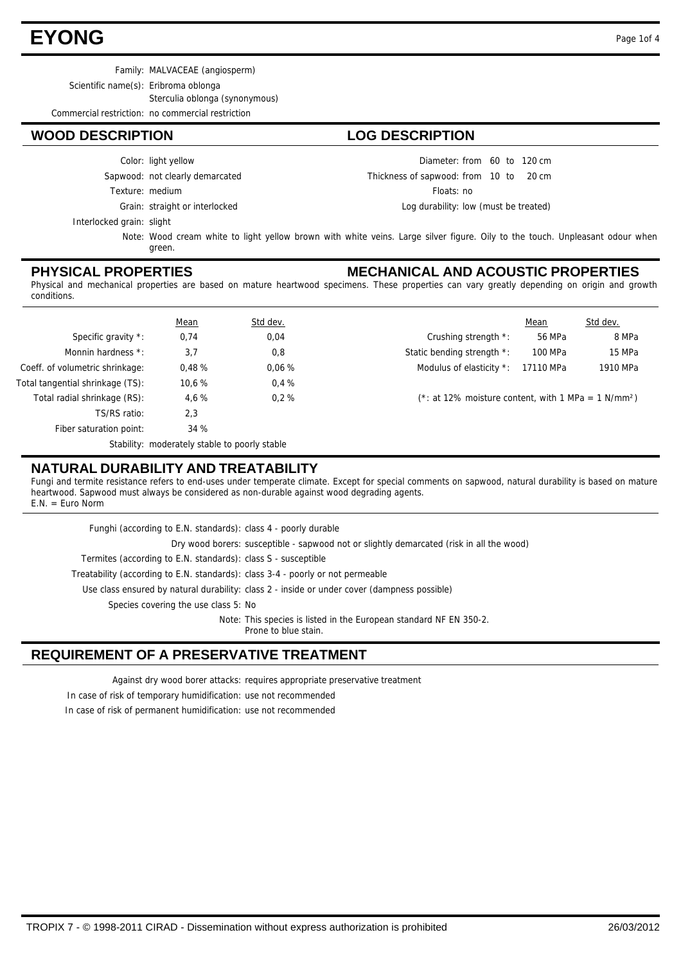# **EYONG** Page 1of 4

Family: MALVACEAE (angiosperm)

Scientific name(s): Eribroma oblonga

Sterculia oblonga (synonymous)

Commercial restriction: no commercial restriction

### **WOOD DESCRIPTION LOG DESCRIPTION**

Sapwood: not clearly demarcated Color: light yellow

Texture: medium

Grain: straight or interlocked

Interlocked grain: slight

Note: Wood cream white to light yellow brown with white veins. Large silver figure. Oily to the touch. Unpleasant odour when green.

### **PHYSICAL PROPERTIES**

#### **MECHANICAL AND ACOUSTIC PROPERTIES**

Diameter: from 60 to 120 cm

Log durability: low (must be treated)

Thickness of sapwood: from 10 to 20 cm Floats: no

Physical and mechanical properties are based on mature heartwood specimens. These properties can vary greatly depending on origin and growth conditions.

|                                  | <b>Mean</b>                                   | Std dev. |                                                                   | Mean      | Std dev. |  |
|----------------------------------|-----------------------------------------------|----------|-------------------------------------------------------------------|-----------|----------|--|
| Specific gravity *:              | 0,74                                          | 0,04     | Crushing strength *:                                              | 56 MPa    | 8 MPa    |  |
| Monnin hardness *:               | 3,7                                           | 0,8      | Static bending strength *:                                        | 100 MPa   | 15 MPa   |  |
| Coeff. of volumetric shrinkage:  | 0.48%                                         | 0.06%    | Modulus of elasticity *:                                          | 17110 MPa | 1910 MPa |  |
| Total tangential shrinkage (TS): | 10,6 %                                        | 0.4%     |                                                                   |           |          |  |
| Total radial shrinkage (RS):     | 4.6 %                                         | 0.2%     | (*: at 12% moisture content, with 1 MPa = $1$ N/mm <sup>2</sup> ) |           |          |  |
| TS/RS ratio:                     | 2,3                                           |          |                                                                   |           |          |  |
| Fiber saturation point:          | 34 %                                          |          |                                                                   |           |          |  |
|                                  | Stability: moderately stable to poorly stable |          |                                                                   |           |          |  |

### **NATURAL DURABILITY AND TREATABILITY**

Fungi and termite resistance refers to end-uses under temperate climate. Except for special comments on sapwood, natural durability is based on mature heartwood. Sapwood must always be considered as non-durable against wood degrading agents. E.N. = Euro Norm

| Funghi (according to E.N. standards): class 4 - poorly durable                  |                                                                                              |
|---------------------------------------------------------------------------------|----------------------------------------------------------------------------------------------|
|                                                                                 | Dry wood borers: susceptible - sapwood not or slightly demarcated (risk in all the wood)     |
| Termites (according to E.N. standards): class S - susceptible                   |                                                                                              |
| Treatability (according to E.N. standards): class 3-4 - poorly or not permeable |                                                                                              |
|                                                                                 | Use class ensured by natural durability: class 2 - inside or under cover (dampness possible) |
| Species covering the use class 5: No                                            |                                                                                              |
|                                                                                 | Note: This species is listed in the European standard NF EN 350-2.<br>Prone to blue stain.   |

## **REQUIREMENT OF A PRESERVATIVE TREATMENT**

Against dry wood borer attacks: requires appropriate preservative treatment

In case of risk of temporary humidification: use not recommended

In case of risk of permanent humidification: use not recommended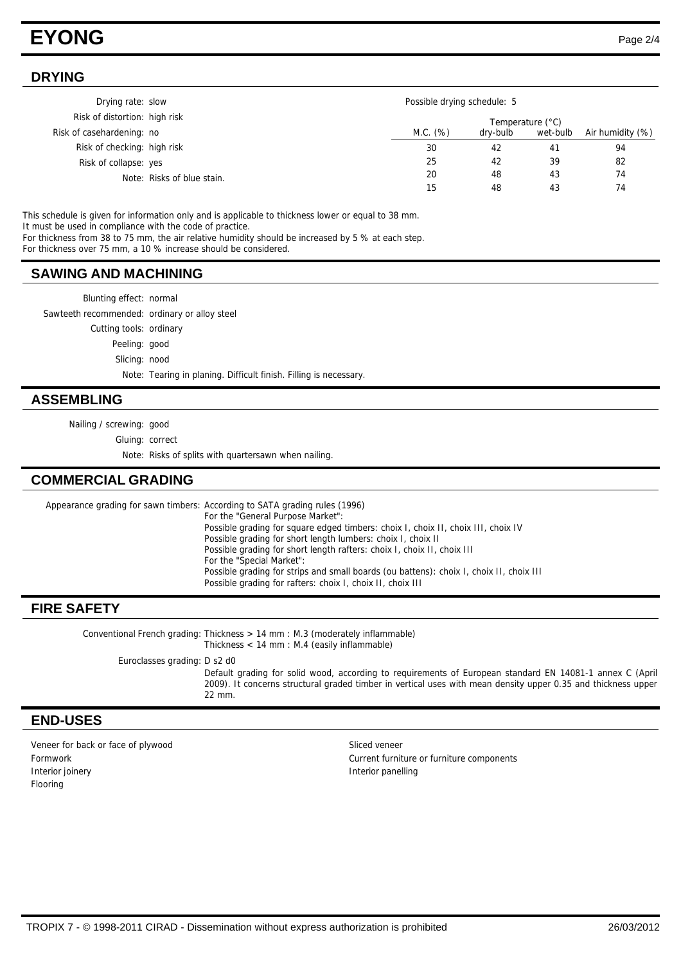# **EYONG** Page 2/4

#### **DRYING**

| Drying rate: slow             | Possible drying schedule: 5 |          |          |                  |
|-------------------------------|-----------------------------|----------|----------|------------------|
| Risk of distortion: high risk | Temperature (°C)            |          |          |                  |
| Risk of casehardening: no     | M.C. (%)                    | dry-bulb | wet-bulb | Air humidity (%) |
| Risk of checking: high risk   | 30                          | 42       | 41       | 94               |
| Risk of collapse: yes         | 25                          | 42       | 39       | 82               |
| Note: Risks of blue stain.    | 20                          | 48       | 43       | 74               |
|                               | 15                          | 48       | 43       | 74               |

This schedule is given for information only and is applicable to thickness lower or equal to 38 mm. It must be used in compliance with the code of practice.

For thickness from 38 to 75 mm, the air relative humidity should be increased by 5 % at each step.

For thickness over 75 mm, a 10 % increase should be considered.

#### **SAWING AND MACHINING**

Blunting effect: normal

Sawteeth recommended: ordinary or alloy steel

Cutting tools: ordinary

Peeling: good

Slicing: nood

Note: Tearing in planing. Difficult finish. Filling is necessary.

#### **ASSEMBLING**

Nailing / screwing: good

Gluing: correct

Note: Risks of splits with quartersawn when nailing.

### **COMMERCIAL GRADING**

Appearance grading for sawn timbers: According to SATA grading rules (1996) For the "General Purpose Market": Possible grading for square edged timbers: choix I, choix II, choix III, choix IV Possible grading for short length lumbers: choix I, choix II Possible grading for short length rafters: choix I, choix II, choix III For the "Special Market": Possible grading for strips and small boards (ou battens): choix I, choix II, choix III Possible grading for rafters: choix I, choix II, choix III

#### **FIRE SAFETY**

Conventional French grading: Thickness > 14 mm : M.3 (moderately inflammable) Thickness < 14 mm : M.4 (easily inflammable)

Euroclasses grading: D s2 d0

Default grading for solid wood, according to requirements of European standard EN 14081-1 annex C (April 2009). It concerns structural graded timber in vertical uses with mean density upper 0.35 and thickness upper 22 mm.

#### **END-USES**

Veneer for back or face of plywood states and states of sliced veneer Interior joinery **Interior panelling** Flooring

Formwork Current furniture or furniture components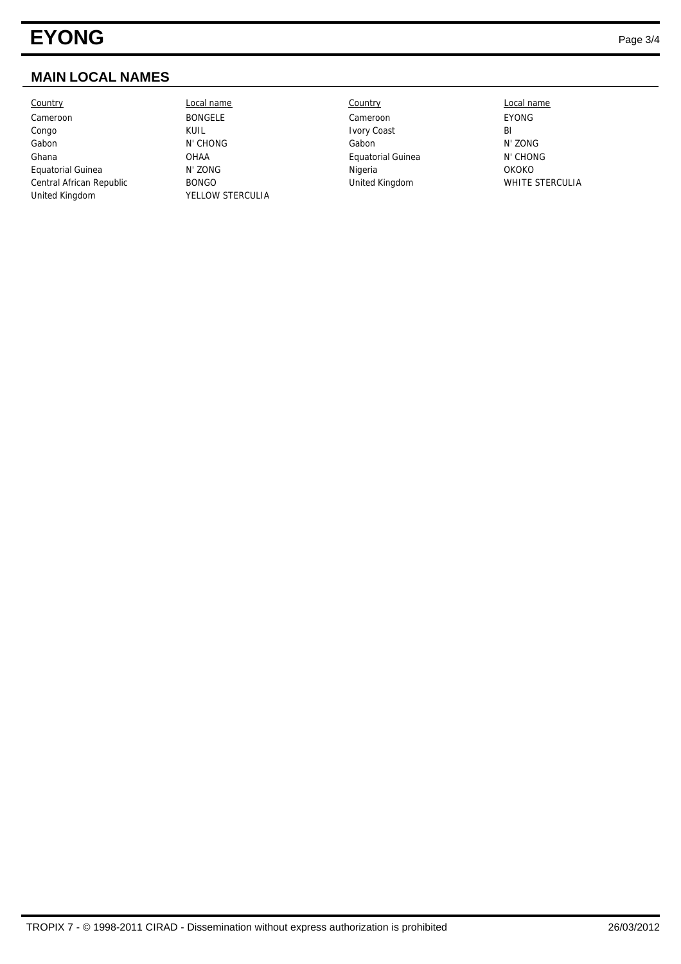# **EYONG** Page 3/4

# **MAIN LOCAL NAMES**

Country Local name Country Local name Cameroon BONGELE Cameroon EYONG Congo KUIL KUIL Ivory Coast BI Gabon N' CHONG Gabon N' ZONG Ghana **Calculation CHAA** CHONG CHAA Equatorial Guinea N' CHONG Equatorial Guinea N' ZONG Nigeria OKOKO Central African Republic BONGO United Kingdom WHITE STERCULIA United Kingdom YELLOW STERCULIA